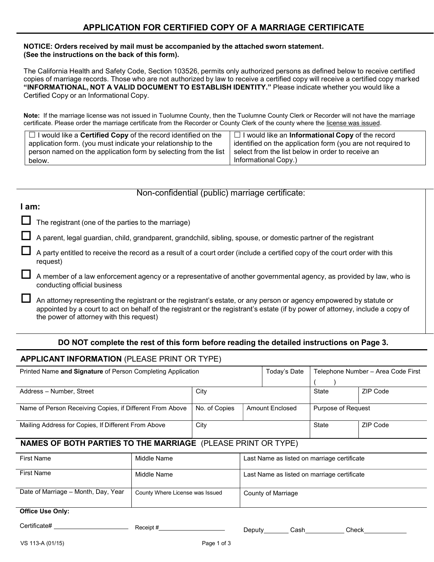#### NOTICE: Orders received by mail must be accompanied by the attached sworn statement. (See the instructions on the back of this form).

The California Health and Safety Code, Section 103526, permits only authorized persons as defined below to receive certified copies of marriage records. Those who are not authorized by law to receive a certified copy will receive a certified copy marked "INFORMATIONAL, NOT A VALID DOCUMENT TO ESTABLISH IDENTITY." Please indicate whether you would like a Certified Copy or an Informational Copy.

Note: If the marriage license was not issued in Tuolumne County, then the Tuolumne County Clerk or Recorder will not have the marriage certificate. Please order the marriage certificate from the Recorder or County Clerk of the county where the license was issued.

| $\Box$ I would like a <b>Certified Copy</b> of the record identified on the | $\Box$ I would like an <b>Informational Copy</b> of the record |
|-----------------------------------------------------------------------------|----------------------------------------------------------------|
| application form. (you must indicate your relationship to the               | identified on the application form (you are not required to    |
| person named on the application form by selecting from the list             | select from the list below in order to receive an              |
| below.                                                                      | Informational Copy.)                                           |

## Non-confidential (public) marriage certificate:

## I am:

The registrant (one of the parties to the marriage)

A parent, legal guardian, child, grandparent, grandchild, sibling, spouse, or domestic partner of the registrant

 A party entitled to receive the record as a result of a court order (include a certified copy of the court order with this request)

 A member of a law enforcement agency or a representative of another governmental agency, as provided by law, who is conducting official business

 An attorney representing the registrant or the registrant's estate, or any person or agency empowered by statute or appointed by a court to act on behalf of the registrant or the registrant's estate (if by power of attorney, include a copy of the power of attorney with this request)

# DO NOT complete the rest of this form before reading the detailed instructions on Page 3.

# APPLICANT INFORMATION (PLEASE PRINT OR TYPE)

| Printed Name and Signature of Person Completing Application         |             |               | Today's Date           |                                             | Telephone Number – Area Code First |
|---------------------------------------------------------------------|-------------|---------------|------------------------|---------------------------------------------|------------------------------------|
|                                                                     |             |               |                        |                                             |                                    |
| Address - Number, Street                                            |             | City          |                        | State                                       | ZIP Code                           |
|                                                                     |             |               |                        |                                             |                                    |
| Name of Person Receiving Copies, if Different From Above            |             | No. of Copies | <b>Amount Enclosed</b> | Purpose of Request                          |                                    |
|                                                                     |             |               |                        |                                             |                                    |
| Mailing Address for Copies, If Different From Above                 |             | City          |                        | State                                       | ZIP Code                           |
|                                                                     |             |               |                        |                                             |                                    |
| <b>NAMES OF BOTH PARTIES TO THE MARRIAGE (PLEASE PRINT OR TYPE)</b> |             |               |                        |                                             |                                    |
| <b>First Name</b>                                                   | Middle Name |               |                        | Last Name as listed on marriage certificate |                                    |
| <b>First Name</b>                                                   | Middle Name |               |                        | Last Name as listed on marriage certificate |                                    |

| Date of Marriage - Month, Day, Year | County Where License was Issued | County of Marriage |
|-------------------------------------|---------------------------------|--------------------|
|                                     |                                 |                    |
|                                     |                                 |                    |
| <b>Office Use Only:</b>             |                                 |                    |
|                                     |                                 |                    |

Certificate# Receipt # Deputy Cash Check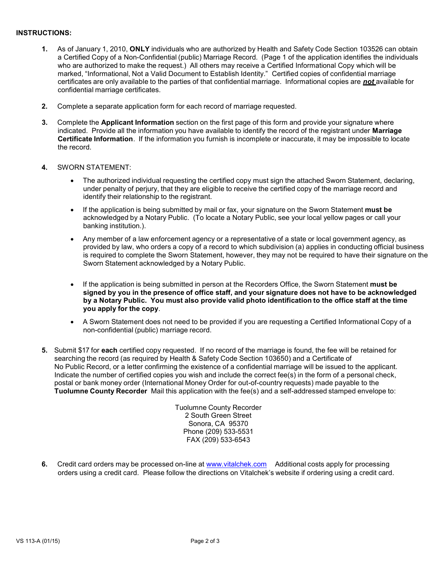### INSTRUCTIONS:

- 1. As of January 1, 2010, ONLY individuals who are authorized by Health and Safety Code Section 103526 can obtain a Certified Copy of a Non-Confidential (public) Marriage Record. (Page 1 of the application identifies the individuals who are authorized to make the request.) All others may receive a Certified Informational Copy which will be marked, "Informational, Not a Valid Document to Establish Identity." Certified copies of confidential marriage certificates are only available to the parties of that confidential marriage. Informational copies are **not** available for confidential marriage certificates.
- 2. Complete a separate application form for each record of marriage requested.
- 3. Complete the Applicant Information section on the first page of this form and provide your signature where indicated. Provide all the information you have available to identify the record of the registrant under Marriage Certificate Information. If the information you furnish is incomplete or inaccurate, it may be impossible to locate the record.
- 4. SWORN STATEMENT:
	- The authorized individual requesting the certified copy must sign the attached Sworn Statement, declaring, under penalty of perjury, that they are eligible to receive the certified copy of the marriage record and identify their relationship to the registrant.
	- If the application is being submitted by mail or fax, your signature on the Sworn Statement must be acknowledged by a Notary Public. (To locate a Notary Public, see your local yellow pages or call your banking institution.).
	- Any member of a law enforcement agency or a representative of a state or local government agency, as provided by law, who orders a copy of a record to which subdivision (a) applies in conducting official business is required to complete the Sworn Statement, however, they may not be required to have their signature on the Sworn Statement acknowledged by a Notary Public.
	- If the application is being submitted in person at the Recorders Office, the Sworn Statement must be signed by you in the presence of office staff, and your signature does not have to be acknowledged by a Notary Public. You must also provide valid photo identification to the office staff at the time you apply for the copy.
	- A Sworn Statement does not need to be provided if you are requesting a Certified Informational Copy of a non-confidential (public) marriage record.
- 5. Submit \$17 for each certified copy requested. If no record of the marriage is found, the fee will be retained for searching the record (as required by Health & Safety Code Section 103650) and a Certificate of No Public Record, or a letter confirming the existence of a confidential marriage will be issued to the applicant. Indicate the number of certified copies you wish and include the correct fee(s) in the form of a personal check, postal or bank money order (International Money Order for out-of-country requests) made payable to the Tuolumne County Recorder Mail this application with the fee(s) and a self-addressed stamped envelope to:

Tuolumne County Recorder 2 South Green Street Sonora, CA 95370 Phone (209) 533-5531 FAX (209) 533-6543

6. Credit card orders may be processed on-line at www.vitalchek.com Additional costs apply for processing orders using a credit card. Please follow the directions on Vitalchek's website if ordering using a credit card.